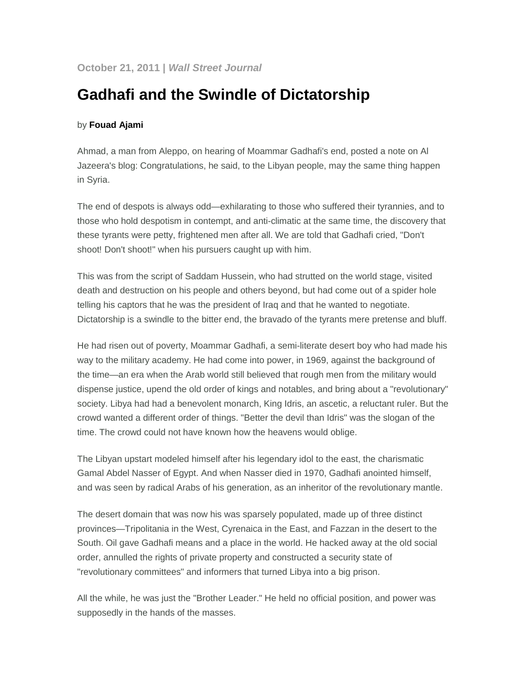## **[Gadhafi and the Swindle of Dictatorship](http://www.hoover.org/news/daily-report/97371)**

## by **[Fouad Ajami](http://www.hoover.org/fellows/8881)**

Ahmad, a man from Aleppo, on hearing of Moammar Gadhafi's end, posted a note on Al Jazeera's blog: Congratulations, he said, to the Libyan people, may the same thing happen in Syria.

The end of despots is always odd—exhilarating to those who suffered their tyrannies, and to those who hold despotism in contempt, and anti-climatic at the same time, the discovery that these tyrants were petty, frightened men after all. We are told that Gadhafi cried, "Don't shoot! Don't shoot!" when his pursuers caught up with him.

This was from the script of Saddam Hussein, who had strutted on the world stage, visited death and destruction on his people and others beyond, but had come out of a spider hole telling his captors that he was the president of Iraq and that he wanted to negotiate. Dictatorship is a swindle to the bitter end, the bravado of the tyrants mere pretense and bluff.

He had risen out of poverty, Moammar Gadhafi, a semi-literate desert boy who had made his way to the military academy. He had come into power, in 1969, against the background of the time—an era when the Arab world still believed that rough men from the military would dispense justice, upend the old order of kings and notables, and bring about a "revolutionary" society. Libya had had a benevolent monarch, King Idris, an ascetic, a reluctant ruler. But the crowd wanted a different order of things. "Better the devil than Idris" was the slogan of the time. The crowd could not have known how the heavens would oblige.

The Libyan upstart modeled himself after his legendary idol to the east, the charismatic Gamal Abdel Nasser of Egypt. And when Nasser died in 1970, Gadhafi anointed himself, and was seen by radical Arabs of his generation, as an inheritor of the revolutionary mantle.

The desert domain that was now his was sparsely populated, made up of three distinct provinces—Tripolitania in the West, Cyrenaica in the East, and Fazzan in the desert to the South. Oil gave Gadhafi means and a place in the world. He hacked away at the old social order, annulled the rights of private property and constructed a security state of "revolutionary committees" and informers that turned Libya into a big prison.

All the while, he was just the "Brother Leader." He held no official position, and power was supposedly in the hands of the masses.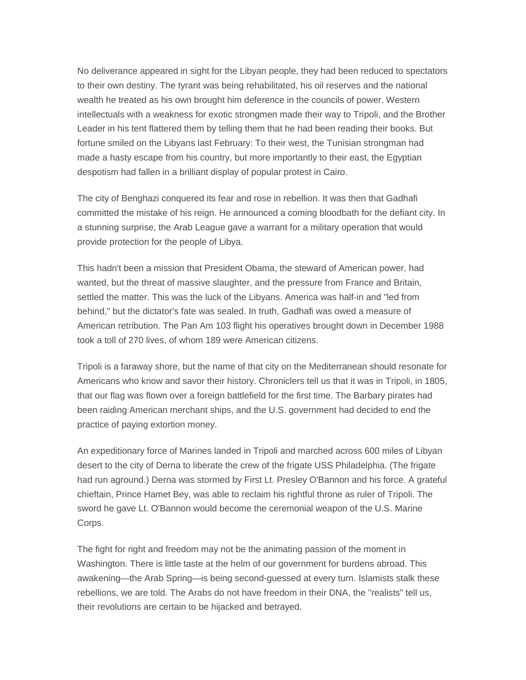No deliverance appeared in sight for the Libyan people, they had been reduced to spectators to their own destiny. The tyrant was being rehabilitated, his oil reserves and the national wealth he treated as his own brought him deference in the councils of power. Western intellectuals with a weakness for exotic strongmen made their way to Tripoli, and the Brother Leader in his tent flattered them by telling them that he had been reading their books. But fortune smiled on the Libyans last February: To their west, the Tunisian strongman had made a hasty escape from his country, but more importantly to their east, the Egyptian despotism had fallen in a brilliant display of popular protest in Cairo.

The city of Benghazi conquered its fear and rose in rebellion. It was then that Gadhafi committed the mistake of his reign. He announced a coming bloodbath for the defiant city. In a stunning surprise, the Arab League gave a warrant for a military operation that would provide protection for the people of Libya.

This hadn't been a mission that President Obama, the steward of American power, had wanted, but the threat of massive slaughter, and the pressure from France and Britain, settled the matter. This was the luck of the Libyans. America was half-in and "led from behind," but the dictator's fate was sealed. In truth, Gadhafi was owed a measure of American retribution. The Pan Am 103 flight his operatives brought down in December 1988 took a toll of 270 lives, of whom 189 were American citizens.

Tripoli is a faraway shore, but the name of that city on the Mediterranean should resonate for Americans who know and savor their history. Chroniclers tell us that it was in Tripoli, in 1805, that our flag was flown over a foreign battlefield for the first time. The Barbary pirates had been raiding American merchant ships, and the U.S. government had decided to end the practice of paying extortion money.

An expeditionary force of Marines landed in Tripoli and marched across 600 miles of Libyan desert to the city of Derna to liberate the crew of the frigate USS Philadelphia. (The frigate had run aground.) Derna was stormed by First Lt. Presley O'Bannon and his force. A grateful chieftain, Prince Hamet Bey, was able to reclaim his rightful throne as ruler of Tripoli. The sword he gave Lt. O'Bannon would become the ceremonial weapon of the U.S. Marine Corps.

The fight for right and freedom may not be the animating passion of the moment in Washington. There is little taste at the helm of our government for burdens abroad. This awakening—the Arab Spring—is being second-guessed at every turn. Islamists stalk these rebellions, we are told. The Arabs do not have freedom in their DNA, the "realists" tell us, their revolutions are certain to be hijacked and betrayed.